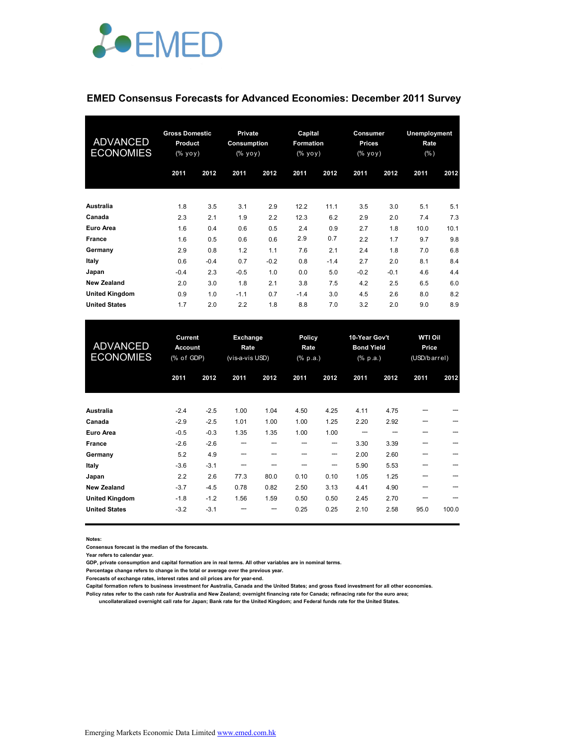

#### **EMED Consensus Forecasts for Advanced Economies: December 2011 Survey**

| <b>ADVANCED</b><br><b>ECONOMIES</b> | <b>Gross Domestic</b><br><b>Product</b><br>(% yoy) |        | <b>Private</b><br>Consumption<br>(% уоу) |        | Capital<br><b>Formation</b><br>(% yoy) |        | Consumer<br><b>Prices</b><br>(% yoy) |        | <b>Unemployment</b><br>Rate<br>$(\% )$ |      |
|-------------------------------------|----------------------------------------------------|--------|------------------------------------------|--------|----------------------------------------|--------|--------------------------------------|--------|----------------------------------------|------|
|                                     | 2011                                               | 2012   | 2011                                     | 2012   | 2011                                   | 2012   | 2011                                 | 2012   | 2011                                   | 2012 |
| Australia                           | 1.8                                                | 3.5    | 3.1                                      | 2.9    | 12.2                                   | 11.1   | 3.5                                  | 3.0    | 5.1                                    | 5.1  |
| Canada                              | 2.3                                                | 2.1    | 1.9                                      | 2.2    | 12.3                                   | 6.2    | 2.9                                  | 2.0    | 7.4                                    | 7.3  |
| <b>Euro Area</b>                    | 1.6                                                | 0.4    | 0.6                                      | 0.5    | 2.4                                    | 0.9    | 2.7                                  | 1.8    | 10.0                                   | 10.1 |
| France                              | 1.6                                                | 0.5    | 0.6                                      | 0.6    | 2.9                                    | 0.7    | 2.2                                  | 1.7    | 9.7                                    | 9.8  |
| Germany                             | 2.9                                                | 0.8    | 1.2                                      | 1.1    | 7.6                                    | 2.1    | 2.4                                  | 1.8    | 7.0                                    | 6.8  |
| Italy                               | 0.6                                                | $-0.4$ | 0.7                                      | $-0.2$ | 0.8                                    | $-1.4$ | 2.7                                  | 2.0    | 8.1                                    | 8.4  |
| Japan                               | $-0.4$                                             | 2.3    | $-0.5$                                   | 1.0    | 0.0                                    | 5.0    | $-0.2$                               | $-0.1$ | 4.6                                    | 4.4  |
| <b>New Zealand</b>                  | 2.0                                                | 3.0    | 1.8                                      | 2.1    | 3.8                                    | 7.5    | 4.2                                  | 2.5    | 6.5                                    | 6.0  |
| <b>United Kingdom</b>               | 0.9                                                | 1.0    | $-1.1$                                   | 0.7    | $-1.4$                                 | 3.0    | 4.5                                  | 2.6    | 8.0                                    | 8.2  |
| <b>United States</b>                | 1.7                                                | 2.0    | 2.2                                      | 1.8    | 8.8                                    | 7.0    | 3.2                                  | 2.0    | 9.0                                    | 8.9  |

| <b>ADVANCED</b><br><b>ECONOMIES</b> | Current<br><b>Account</b><br>(% of GDP) |        | Exchange<br>Rate<br>(vis-a-vis USD) |      | Policy<br>Rate<br>$(% \mathbf{a})$ (% p.a.) |      | 10-Year Gov't<br><b>Bond Yield</b><br>(% p.a.) |      | <b>WTI Oil</b><br>Price<br>(USD/barrel) |       |
|-------------------------------------|-----------------------------------------|--------|-------------------------------------|------|---------------------------------------------|------|------------------------------------------------|------|-----------------------------------------|-------|
|                                     | 2011                                    | 2012   | 2011                                | 2012 | 2011                                        | 2012 | 2011                                           | 2012 | 2011                                    | 2012  |
| Australia                           | $-2.4$                                  | $-2.5$ | 1.00                                | 1.04 | 4.50                                        | 4.25 | 4.11                                           | 4.75 |                                         |       |
| Canada                              | $-2.9$                                  | $-2.5$ | 1.01                                | 1.00 | 1.00                                        | 1.25 | 2.20                                           | 2.92 |                                         |       |
| <b>Euro Area</b>                    | $-0.5$                                  | $-0.3$ | 1.35                                | 1.35 | 1.00                                        | 1.00 |                                                |      | ---                                     |       |
| France                              | $-2.6$                                  | $-2.6$ | ---                                 |      | ---                                         | ---  | 3.30                                           | 3.39 | ---                                     |       |
| Germany                             | 5.2                                     | 4.9    | ---                                 |      |                                             | ---  | 2.00                                           | 2.60 |                                         |       |
| Italy                               | $-3.6$                                  | $-3.1$ | ---                                 |      |                                             | ---  | 5.90                                           | 5.53 |                                         |       |
| Japan                               | 2.2                                     | 2.6    | 77.3                                | 80.0 | 0.10                                        | 0.10 | 1.05                                           | 1.25 |                                         |       |
| <b>New Zealand</b>                  | $-3.7$                                  | $-4.5$ | 0.78                                | 0.82 | 2.50                                        | 3.13 | 4.41                                           | 4.90 |                                         |       |
| <b>United Kingdom</b>               | $-1.8$                                  | $-1.2$ | 1.56                                | 1.59 | 0.50                                        | 0.50 | 2.45                                           | 2.70 |                                         |       |
| <b>United States</b>                | $-3.2$                                  | $-3.1$ |                                     |      | 0.25                                        | 0.25 | 2.10                                           | 2.58 | 95.0                                    | 100.0 |

**Notes:** 

**Consensus forecast is the median of the forecasts.**

**Year refers to calendar year.**

**GDP, private consumption and capital formation are in real terms. All other variables are in nominal terms.**

**Percentage change refers to change in the total or average over the previous year.**

**Forecasts of exchange rates, interest rates and oil prices are for year-end.**

**Capital formation refers to business investment for Australia, Canada and the United States; and gross fixed investment for all other economies. Policy rates refer to the cash rate for Australia and New Zealand; overnight financing rate for Canada; refinacing rate for the euro area;** 

 **uncollateralized overnight call rate for Japan; Bank rate for the United Kingdom; and Federal funds rate for the United States.**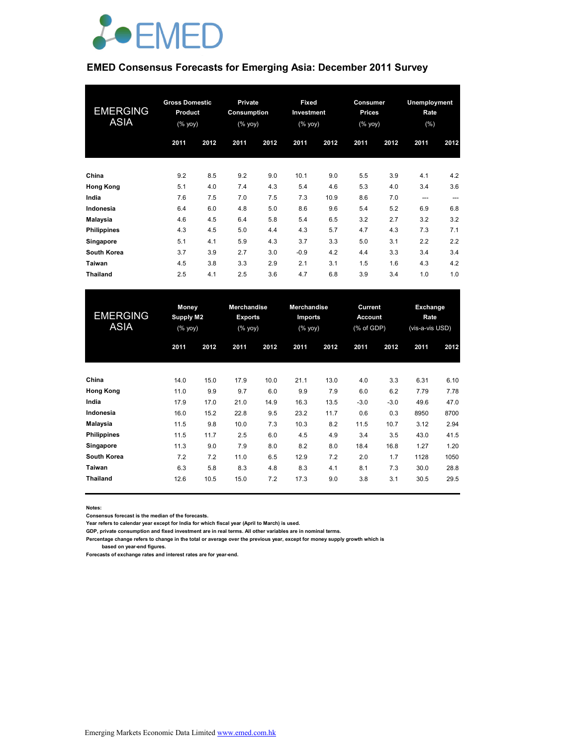

### **EMED Consensus Forecasts for Emerging Asia: December 2011 Survey**

| <b>EMERGING</b><br><b>ASIA</b> | <b>Gross Domestic</b><br><b>Product</b><br>$(% \mathsf{Y}^{\prime }\mathsf{Y}^{\prime }\mathsf{Y}^{\prime })$ |      | Private<br>Consumption<br>(% yoy) |      | <b>Fixed</b><br>Investment<br>(% yoy) |      | Consumer<br><b>Prices</b><br>(% yoy) |      | Unemployment<br>Rate<br>$(\% )$ |      |
|--------------------------------|---------------------------------------------------------------------------------------------------------------|------|-----------------------------------|------|---------------------------------------|------|--------------------------------------|------|---------------------------------|------|
|                                | 2011                                                                                                          | 2012 | 2011                              | 2012 | 2011                                  | 2012 | 2011                                 | 2012 | 2011                            | 2012 |
| China                          | 9.2                                                                                                           | 8.5  | 9.2                               | 9.0  | 10.1                                  | 9.0  | 5.5                                  | 3.9  | 4.1                             | 4.2  |
| <b>Hong Kong</b>               | 5.1                                                                                                           | 4.0  | 7.4                               | 4.3  | 5.4                                   | 4.6  | 5.3                                  | 4.0  | 3.4                             | 3.6  |
| India                          | 7.6                                                                                                           | 7.5  | 7.0                               | 7.5  | 7.3                                   | 10.9 | 8.6                                  | 7.0  | $---$                           | ---  |
| Indonesia                      | 6.4                                                                                                           | 6.0  | 4.8                               | 5.0  | 8.6                                   | 9.6  | 5.4                                  | 5.2  | 6.9                             | 6.8  |
| Malaysia                       | 4.6                                                                                                           | 4.5  | 6.4                               | 5.8  | 5.4                                   | 6.5  | 3.2                                  | 2.7  | 3.2                             | 3.2  |
| <b>Philippines</b>             | 4.3                                                                                                           | 4.5  | 5.0                               | 4.4  | 4.3                                   | 5.7  | 4.7                                  | 4.3  | 7.3                             | 7.1  |
| Singapore                      | 5.1                                                                                                           | 4.1  | 5.9                               | 4.3  | 3.7                                   | 3.3  | 5.0                                  | 3.1  | 2.2                             | 2.2  |
| South Korea                    | 3.7                                                                                                           | 3.9  | 2.7                               | 3.0  | $-0.9$                                | 4.2  | 4.4                                  | 3.3  | 3.4                             | 3.4  |
| Taiwan                         | 4.5                                                                                                           | 3.8  | 3.3                               | 2.9  | 2.1                                   | 3.1  | 1.5                                  | 1.6  | 4.3                             | 4.2  |
| <b>Thailand</b>                | 2.5                                                                                                           | 4.1  | 2.5                               | 3.6  | 4.7                                   | 6.8  | 3.9                                  | 3.4  | 1.0                             | 1.0  |

| <b>EMERGING</b><br><b>ASIA</b> | <b>Money</b><br><b>Supply M2</b><br>(% yoy) |      | <b>Merchandise</b><br><b>Exports</b><br>(% yoy) |      | <b>Merchandise</b><br><b>Imports</b><br>(% yoy) |      | Current<br><b>Account</b><br>(% of GDP) |        | Exchange<br><b>Rate</b><br>(vis-a-vis USD) |      |
|--------------------------------|---------------------------------------------|------|-------------------------------------------------|------|-------------------------------------------------|------|-----------------------------------------|--------|--------------------------------------------|------|
|                                | 2011                                        | 2012 | 2011                                            | 2012 | 2011                                            | 2012 | 2011                                    | 2012   | 2011                                       | 2012 |
| China                          | 14.0                                        | 15.0 | 17.9                                            | 10.0 | 21.1                                            | 13.0 | 4.0                                     | 3.3    | 6.31                                       | 6.10 |
| <b>Hong Kong</b>               | 11.0                                        | 9.9  | 9.7                                             | 6.0  | 9.9                                             | 7.9  | 6.0                                     | 6.2    | 7.79                                       | 7.78 |
| India                          | 17.9                                        | 17.0 | 21.0                                            | 14.9 | 16.3                                            | 13.5 | $-3.0$                                  | $-3.0$ | 49.6                                       | 47.0 |
| Indonesia                      | 16.0                                        | 15.2 | 22.8                                            | 9.5  | 23.2                                            | 11.7 | 0.6                                     | 0.3    | 8950                                       | 8700 |
| <b>Malaysia</b>                | 11.5                                        | 9.8  | 10.0                                            | 7.3  | 10.3                                            | 8.2  | 11.5                                    | 10.7   | 3.12                                       | 2.94 |
| <b>Philippines</b>             | 11.5                                        | 11.7 | 2.5                                             | 6.0  | 4.5                                             | 4.9  | 3.4                                     | 3.5    | 43.0                                       | 41.5 |
| Singapore                      | 11.3                                        | 9.0  | 7.9                                             | 8.0  | 8.2                                             | 8.0  | 18.4                                    | 16.8   | 1.27                                       | 1.20 |
| South Korea                    | 7.2                                         | 7.2  | 11.0                                            | 6.5  | 12.9                                            | 7.2  | 2.0                                     | 1.7    | 1128                                       | 1050 |
| Taiwan                         | 6.3                                         | 5.8  | 8.3                                             | 4.8  | 8.3                                             | 4.1  | 8.1                                     | 7.3    | 30.0                                       | 28.8 |
| <b>Thailand</b>                | 12.6                                        | 10.5 | 15.0                                            | 7.2  | 17.3                                            | 9.0  | 3.8                                     | 3.1    | 30.5                                       | 29.5 |

**Notes:** 

**Consensus forecast is the median of the forecasts.**

**Year refers to calendar year except for India for which fiscal year (April to March) is used.**

**GDP, private consumption and fixed investment are in real terms. All other variables are in nominal terms.**

**Percentage change refers to change in the total or average over the previous year, except for money supply growth which is** 

 **based on year-end figures.**

**Forecasts of exchange rates and interest rates are for year-end.**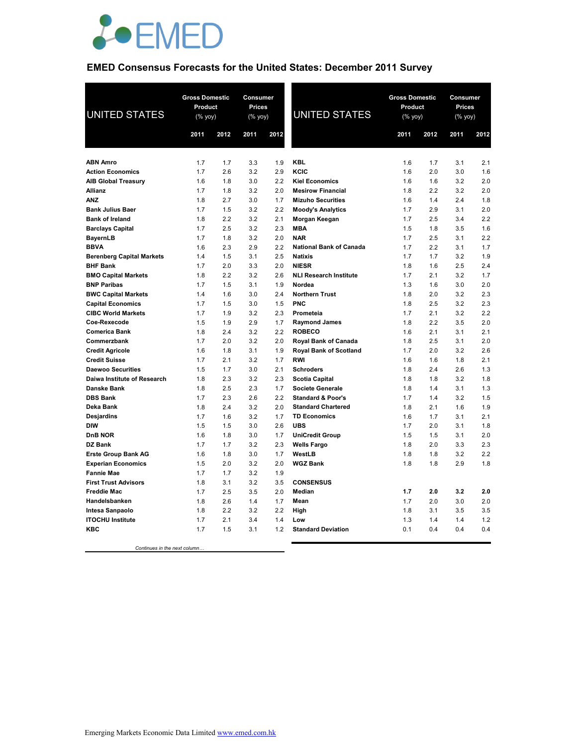

## **EMED Consensus Forecasts for the United States: December 2011 Survey**

| <b>UNITED STATES</b>                                | <b>Gross Domestic</b><br><b>Consumer</b><br>Product<br>Prices<br>$(% \mathsf{Y}^{\prime }\mathsf{Y}^{\prime }\mathsf{Y}^{\prime })$<br>(% yoy) |            | <b>UNITED STATES</b> | <b>Gross Domestic</b><br>Product<br>$(\%$ yoy) |                                                  | Consumer<br><b>Prices</b><br>(% yoy) |            |            |            |
|-----------------------------------------------------|------------------------------------------------------------------------------------------------------------------------------------------------|------------|----------------------|------------------------------------------------|--------------------------------------------------|--------------------------------------|------------|------------|------------|
|                                                     | 2011                                                                                                                                           | 2012       | 2011                 | 2012                                           |                                                  | 2011                                 | 2012       | 2011       | 2012       |
|                                                     |                                                                                                                                                |            |                      |                                                |                                                  |                                      |            |            |            |
| <b>ABN Amro</b>                                     | 1.7                                                                                                                                            | 1.7        | 3.3                  | 1.9                                            | <b>KBL</b>                                       | 1.6                                  | 1.7        | 3.1        | 2.1        |
| <b>Action Economics</b>                             | 1.7                                                                                                                                            | 2.6        | 3.2                  | 2.9                                            | KCIC                                             | 1.6                                  | 2.0        | 3.0        | 1.6        |
| <b>AIB Global Treasury</b>                          | 1.6                                                                                                                                            | 1.8        | 3.0                  | 2.2                                            | <b>Kiel Economics</b>                            | 1.6                                  | 1.6        | 3.2        | 2.0        |
| Allianz                                             | 1.7                                                                                                                                            | 1.8        | 3.2                  | 2.0                                            | <b>Mesirow Financial</b>                         | 1.8                                  | 2.2        | 3.2        | 2.0        |
| <b>ANZ</b>                                          | 1.8                                                                                                                                            | 2.7        | 3.0                  | 1.7                                            | <b>Mizuho Securities</b>                         | 1.6                                  | 1.4        | 2.4        | 1.8        |
| <b>Bank Julius Baer</b>                             | 1.7                                                                                                                                            | 1.5        | 3.2                  | 2.2                                            | <b>Moody's Analytics</b>                         | 1.7                                  | 2.9        | 3.1        | 2.0        |
| <b>Bank of Ireland</b>                              | 1.8                                                                                                                                            | 2.2        | 3.2                  | 2.1                                            | Morgan Keegan                                    | 1.7                                  | 2.5        | 3.4        | 2.2        |
| <b>Barclays Capital</b>                             | 1.7                                                                                                                                            | 2.5        | 3.2                  | 2.3                                            | <b>MBA</b>                                       | 1.5                                  | 1.8        | 3.5        | 1.6        |
| <b>BayernLB</b>                                     | 1.7                                                                                                                                            | 1.8        | 3.2                  | 2.0                                            | <b>NAR</b>                                       | 1.7                                  | 2.5        | 3.1        | 2.2        |
| <b>BBVA</b>                                         | 1.6                                                                                                                                            | 2.3        | 2.9                  | 2.2                                            | <b>National Bank of Canada</b><br><b>Natixis</b> | 1.7                                  | 2.2        | 3.1        | 1.7<br>1.9 |
| <b>Berenberg Capital Markets</b><br><b>BHF Bank</b> | 1.4<br>1.7                                                                                                                                     | 1.5<br>2.0 | 3.1<br>3.3           | 2.5<br>2.0                                     | <b>NIESR</b>                                     | 1.7<br>1.8                           | 1.7<br>1.6 | 3.2<br>2.5 | 2.4        |
| <b>BMO Capital Markets</b>                          | 1.8                                                                                                                                            | 2.2        | 3.2                  | 2.6                                            | <b>NLI Research Institute</b>                    | 1.7                                  | 2.1        | 3.2        | 1.7        |
| <b>BNP Paribas</b>                                  | 1.7                                                                                                                                            | 1.5        | 3.1                  | 1.9                                            | Nordea                                           | 1.3                                  | 1.6        | 3.0        | 2.0        |
| <b>BWC Capital Markets</b>                          | 1.4                                                                                                                                            | 1.6        | 3.0                  | 2.4                                            | <b>Northern Trust</b>                            | 1.8                                  | 2.0        | 3.2        | 2.3        |
| <b>Capital Economics</b>                            | 1.7                                                                                                                                            | 1.5        | 3.0                  | 1.5                                            | <b>PNC</b>                                       | 1.8                                  | 2.5        | 3.2        | 2.3        |
| <b>CIBC World Markets</b>                           | 1.7                                                                                                                                            | 1.9        | 3.2                  | 2.3                                            | Prometeia                                        | 1.7                                  | 2.1        | 3.2        | 2.2        |
| Coe-Rexecode                                        | 1.5                                                                                                                                            | 1.9        | 2.9                  | 1.7                                            | <b>Raymond James</b>                             | 1.8                                  | 2.2        | 3.5        | 2.0        |
| <b>Comerica Bank</b>                                | 1.8                                                                                                                                            | 2.4        | 3.2                  | 2.2                                            | <b>ROBECO</b>                                    | 1.6                                  | 2.1        | 3.1        | 2.1        |
| Commerzbank                                         | 1.7                                                                                                                                            | 2.0        | 3.2                  | 2.0                                            | Royal Bank of Canada                             | 1.8                                  | 2.5        | 3.1        | 2.0        |
| <b>Credit Agricole</b>                              | 1.6                                                                                                                                            | 1.8        | 3.1                  | 1.9                                            | <b>Royal Bank of Scotland</b>                    | 1.7                                  | 2.0        | 3.2        | 2.6        |
| <b>Credit Suisse</b>                                | 1.7                                                                                                                                            | 2.1        | 3.2                  | 1.7                                            | <b>RWI</b>                                       | 1.6                                  | 1.6        | 1.8        | 2.1        |
| <b>Daewoo Securities</b>                            | 1.5                                                                                                                                            | 1.7        | 3.0                  | 2.1                                            | <b>Schroders</b>                                 | 1.8                                  | 2.4        | 2.6        | 1.3        |
| Daiwa Institute of Research                         | 1.8                                                                                                                                            | 2.3        | 3.2                  | 2.3                                            | <b>Scotia Capital</b>                            | 1.8                                  | 1.8        | 3.2        | 1.8        |
| <b>Danske Bank</b>                                  | 1.8                                                                                                                                            | 2.5        | 2.3                  | 1.7                                            | <b>Societe Generale</b>                          | 1.8                                  | 1.4        | 3.1        | 1.3        |
| <b>DBS Bank</b>                                     | 1.7                                                                                                                                            | 2.3        | 2.6                  | 2.2                                            | <b>Standard &amp; Poor's</b>                     | 1.7                                  | 1.4        | 3.2        | 1.5        |
| Deka Bank                                           | 1.8                                                                                                                                            | 2.4        | 3.2                  | 2.0                                            | <b>Standard Chartered</b>                        | 1.8                                  | 2.1        | 1.6        | 1.9        |
| <b>Desjardins</b>                                   | 1.7                                                                                                                                            | 1.6        | 3.2                  | 1.7                                            | <b>TD Economics</b>                              | 1.6                                  | 1.7        | 3.1        | 2.1        |
| <b>DIW</b>                                          | 1.5                                                                                                                                            | 1.5        | 3.0                  | 2.6                                            | <b>UBS</b>                                       | 1.7                                  | 2.0        | 3.1        | 1.8        |
| <b>DnB NOR</b>                                      | 1.6                                                                                                                                            | 1.8        | 3.0                  | 1.7                                            | <b>UniCredit Group</b>                           | 1.5                                  | 1.5        | 3.1        | 2.0        |
| DZ Bank                                             | 1.7                                                                                                                                            | 1.7        | 3.2                  | 2.3                                            | <b>Wells Fargo</b>                               | 1.8                                  | 2.0        | 3.3        | 2.3        |
| <b>Erste Group Bank AG</b>                          | 1.6                                                                                                                                            | 1.8        | 3.0                  | 1.7                                            | WestLB                                           | 1.8                                  | 1.8        | 3.2        | 2.2        |
| <b>Experian Economics</b>                           | 1.5                                                                                                                                            | 2.0        | 3.2                  | 2.0                                            | <b>WGZ Bank</b>                                  | 1.8                                  | 1.8        | 2.9        | 1.8        |
| <b>Fannie Mae</b>                                   | 1.7                                                                                                                                            | 1.7        | 3.2                  | 1.9                                            |                                                  |                                      |            |            |            |
| <b>First Trust Advisors</b>                         | 1.8                                                                                                                                            | 3.1        | 3.2                  | 3.5                                            | <b>CONSENSUS</b>                                 |                                      |            |            |            |
| <b>Freddie Mac</b>                                  | 1.7                                                                                                                                            | 2.5        | 3.5                  | 2.0                                            | <b>Median</b>                                    | 1.7                                  | 2.0        | 3.2        | 2.0        |
| Handelsbanken                                       | 1.8                                                                                                                                            | 2.6        | 1.4                  | 1.7                                            | Mean                                             | 1.7                                  | 2.0        | 3.0        | 2.0        |
| <b>Intesa Sanpaolo</b>                              | 1.8                                                                                                                                            | 2.2        | 3.2                  | 2.2                                            | High                                             | 1.8                                  | 3.1        | 3.5        | 3.5        |
| <b>ITOCHU Institute</b>                             | 1.7                                                                                                                                            | 2.1        | 3.4                  | 1.4                                            | Low                                              | 1.3                                  | 1.4        | 1.4        | 1.2        |
| <b>KBC</b>                                          | 1.7                                                                                                                                            | 1.5        | 3.1                  | 1.2                                            | <b>Standard Deviation</b>                        | 0.1                                  | 0.4        | 0.4        | 0.4        |

 *Continues in the next column…*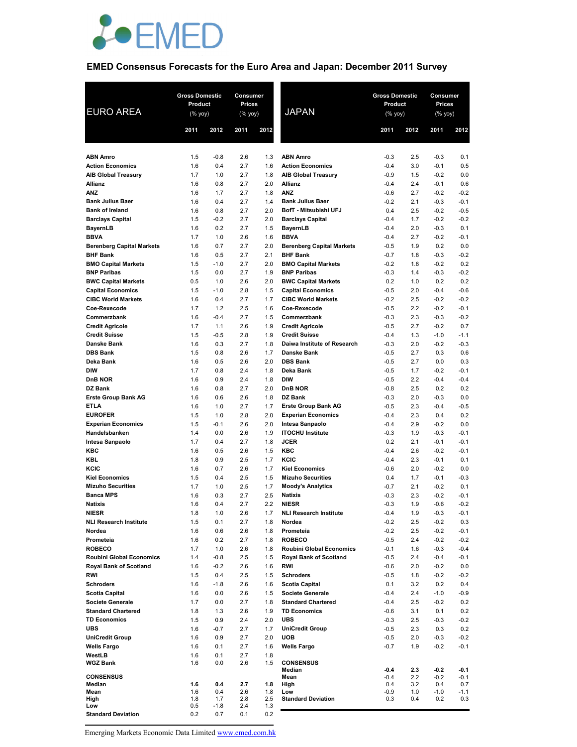

## **EMED Consensus Forecasts for the Euro Area and Japan: December 2011 Survey**

| <b>EURO AREA</b>                          | <b>Gross Domestic</b><br>Product<br>$(\%$ yoy) |               | Consumer<br>Prices<br>(% yoy) |            | <b>JAPAN</b>                                     | <b>Gross Domestic</b><br>Product<br>$(\%$ yoy) |            | Consumer<br>Prices<br>(% yoy) |                  |
|-------------------------------------------|------------------------------------------------|---------------|-------------------------------|------------|--------------------------------------------------|------------------------------------------------|------------|-------------------------------|------------------|
|                                           | 2011                                           | 2012          | 2011                          | 2012       |                                                  | 2011                                           | 2012       | 2011                          | 2012             |
| <b>ABN Amro</b>                           | 1.5                                            | $-0.8$        | 2.6                           | 1.3        | <b>ABN Amro</b>                                  | $-0.3$                                         | 2.5        | $-0.3$                        | 0.1              |
| <b>Action Economics</b>                   | 1.6                                            | 0.4           | 2.7                           | 1.6        | <b>Action Economics</b>                          | $-0.4$                                         | 3.0        | $-0.1$                        | 0.5              |
| <b>AIB Global Treasury</b>                | 1.7                                            | 1.0           | 2.7                           | 1.8        | <b>AIB Global Treasury</b>                       | $-0.9$                                         | 1.5        | $-0.2$                        | 0.0              |
| Allianz                                   | 1.6                                            | 0.8           | 2.7                           | 2.0        | Allianz                                          | $-0.4$                                         | 2.4        | $-0.1$                        | 0.6              |
| <b>ANZ</b>                                | 1.6                                            | 1.7           | 2.7                           | 1.8        | <b>ANZ</b>                                       | $-0.6$                                         | 2.7        | $-0.2$                        | $-0.2$           |
| <b>Bank Julius Baer</b>                   | 1.6                                            | 0.4           | 2.7                           | 1.4        | <b>Bank Julius Baer</b>                          | $-0.2$                                         | 2.1        | $-0.3$                        | $-0.1$           |
| <b>Bank of Ireland</b>                    | 1.6                                            | 0.8           | 2.7                           | 2.0        | BofT - Mitsubishi UFJ                            | 0.4                                            | 2.5        | $-0.2$                        | $-0.5$           |
| <b>Barclays Capital</b><br>BayernLB       | 1.5<br>1.6                                     | $-0.2$<br>0.2 | 2.7<br>2.7                    | 2.0<br>1.5 | <b>Barclays Capital</b><br>BayernLB              | $-0.4$<br>$-0.4$                               | 1.7<br>2.0 | $-0.2$<br>$-0.3$              | $-0.2$<br>0.1    |
| <b>BBVA</b>                               | 1.7                                            | 1.0           | 2.6                           | 1.6        | <b>BBVA</b>                                      | $-0.4$                                         | 2.7        | $-0.2$                        | $-0.1$           |
| <b>Berenberg Capital Markets</b>          | 1.6                                            | 0.7           | 2.7                           | 2.0        | <b>Berenberg Capital Markets</b>                 | $-0.5$                                         | 1.9        | 0.2                           | 0.0              |
| <b>BHF Bank</b>                           | 1.6                                            | 0.5           | 2.7                           | 2.1        | <b>BHF Bank</b>                                  | $-0.7$                                         | 1.8        | $-0.3$                        | $-0.2$           |
| <b>BMO Capital Markets</b>                | 1.5                                            | $-1.0$        | 2.7                           | 2.0        | <b>BMO Capital Markets</b>                       | $-0.2$                                         | 1.8        | $-0.2$                        | 0.2              |
| <b>BNP Paribas</b>                        | 1.5                                            | 0.0           | 2.7                           | 1.9        | <b>BNP Paribas</b>                               | $-0.3$                                         | 1.4        | $-0.3$                        | $-0.2$           |
| <b>BWC Capital Markets</b>                | 0.5                                            | 1.0           | 2.6                           | 2.0        | <b>BWC Capital Markets</b>                       | 0.2                                            | 1.0        | 0.2                           | 0.2              |
| <b>Capital Economics</b>                  | 1.5                                            | $-1.0$        | 2.8                           | 1.5        | <b>Capital Economics</b>                         | $-0.5$                                         | 2.0        | $-0.4$                        | $-0.6$           |
| <b>CIBC World Markets</b><br>Coe-Rexecode | 1.6<br>1.7                                     | 0.4<br>1.2    | 2.7<br>2.5                    | 1.7<br>1.6 | <b>CIBC World Markets</b><br>Coe-Rexecode        | $-0.2$<br>$-0.5$                               | 2.5<br>2.2 | $-0.2$<br>$-0.2$              | $-0.2$<br>$-0.1$ |
| Commerzbank                               | 1.6                                            | $-0.4$        | 2.7                           | 1.5        | Commerzbank                                      | $-0.3$                                         | 2.3        | $-0.3$                        | $-0.2$           |
| <b>Credit Agricole</b>                    | 1.7                                            | 1.1           | 2.6                           | 1.9        | <b>Credit Agricole</b>                           | $-0.5$                                         | 2.7        | $-0.2$                        | 0.7              |
| <b>Credit Suisse</b>                      | 1.5                                            | $-0.5$        | 2.8                           | 1.9        | <b>Credit Suisse</b>                             | $-0.4$                                         | 1.3        | $-1.0$                        | $-1.1$           |
| Danske Bank                               | 1.6                                            | 0.3           | 2.7                           | 1.8        | Daiwa Institute of Research                      | $-0.3$                                         | 2.0        | $-0.2$                        | $-0.3$           |
| <b>DBS Bank</b>                           | 1.5                                            | 0.8           | 2.6                           | 1.7        | <b>Danske Bank</b>                               | $-0.5$                                         | 2.7        | 0.3                           | 0.6              |
| Deka Bank                                 | 1.6                                            | 0.5           | 2.6                           | 2.0        | <b>DBS Bank</b>                                  | $-0.5$                                         | 2.7        | 0.0                           | 0.3              |
| <b>DIW</b>                                | 1.7                                            | 0.8           | 2.4                           | 1.8        | Deka Bank                                        | $-0.5$                                         | 1.7        | $-0.2$                        | $-0.1$           |
| DnB NOR<br>DZ Bank                        | 1.6<br>1.6                                     | 0.9<br>0.8    | 2.4<br>2.7                    | 1.8<br>2.0 | <b>DIW</b><br>DnB NOR                            | $-0.5$<br>$-0.8$                               | 2.2<br>2.5 | $-0.4$<br>0.2                 | $-0.4$<br>0.2    |
| <b>Erste Group Bank AG</b>                | 1.6                                            | 0.6           | 2.6                           | 1.8        | DZ Bank                                          | $-0.3$                                         | 2.0        | $-0.3$                        | 0.0              |
| <b>ETLA</b>                               | 1.6                                            | 1.0           | 2.7                           | 1.7        | <b>Erste Group Bank AG</b>                       | $-0.5$                                         | 2.3        | $-0.4$                        | $-0.5$           |
| <b>EUROFER</b>                            | 1.5                                            | 1.0           | 2.8                           | 2.0        | <b>Experian Economics</b>                        | $-0.4$                                         | 2.3        | 0.4                           | 0.2              |
| <b>Experian Economics</b>                 | 1.5                                            | $-0.1$        | 2.6                           | 2.0        | Intesa Sanpaolo                                  | $-0.4$                                         | 2.9        | $-0.2$                        | 0.0              |
| Handelsbanken                             | 1.4                                            | 0.0           | 2.6                           | 1.9        | <b>ITOCHU Institute</b>                          | $-0.3$                                         | 1.9        | $-0.3$                        | $-0.1$           |
| Intesa Sanpaolo                           | 1.7                                            | 0.4           | 2.7                           | 1.8        | <b>JCER</b>                                      | 0.2                                            | 2.1        | $-0.1$                        | $-0.1$           |
| KBC                                       | 1.6                                            | 0.5           | 2.6                           | 1.5        | KBC                                              | $-0.4$                                         | 2.6        | $-0.2$                        | $-0.1$           |
| KBL<br>KCIC                               | 1.8<br>1.6                                     | 0.9<br>0.7    | 2.5<br>2.6                    | 1.7<br>1.7 | KCIC<br><b>Kiel Economics</b>                    | $-0.4$<br>$-0.6$                               | 2.3<br>2.0 | $-0.1$<br>$-0.2$              | 0.1<br>0.0       |
| <b>Kiel Economics</b>                     | 1.5                                            | 0.4           | 2.5                           | 1.5        | <b>Mizuho Securities</b>                         | 0.4                                            | 1.7        | $-0.1$                        | $-0.3$           |
| <b>Mizuho Securities</b>                  | 1.7                                            | 1.0           | 2.5                           | 1.7        | <b>Moody's Analytics</b>                         | $-0.7$                                         | 2.1        | $-0.2$                        | 0.1              |
| <b>Banca MPS</b>                          | 1.6                                            | 0.3           | 2.7                           | 2.5        | <b>Natixis</b>                                   | $-0.3$                                         | 2.3        | $-0.2$                        | $-0.1$           |
| Natixis                                   | 1.6                                            | 0.4           | 2.7                           | 2.2        | <b>NIESR</b>                                     | $-0.3$                                         | 1.9        | -0.6                          | $-0.2$           |
| <b>NIESR</b>                              | 1.8                                            | 1.0           | 2.6                           | 1.7        | <b>NLI Research Institute</b>                    | -0.4                                           | 1.9        | -0.3                          | $-0.1$           |
| <b>NLI Research Institute</b>             | 1.5                                            | 0.1           | 2.7                           | 1.8        | Nordea                                           | $-0.2$                                         | 2.5        | $-0.2$                        | 0.3              |
| Nordea                                    | 1.6                                            | 0.6           | 2.6                           | 1.8        | Prometeia                                        | $-0.2$                                         | 2.5        | $-0.2$                        | $-0.1$           |
| Prometeia<br><b>ROBECO</b>                | 1.6<br>1.7                                     | 0.2           | 2.7                           | 1.8        | <b>ROBECO</b><br><b>Roubini Global Economics</b> | $-0.5$                                         | 2.4        | $-0.2$                        | $-0.2$           |
| Roubini Global Economics                  | 1.4                                            | 1.0<br>$-0.8$ | 2.6<br>2.5                    | 1.8<br>1.5 | <b>Royal Bank of Scotland</b>                    | $-0.1$<br>$-0.5$                               | 1.6<br>2.4 | $-0.3$<br>$-0.4$              | $-0.4$<br>$-0.1$ |
| <b>Royal Bank of Scotland</b>             | 1.6                                            | $-0.2$        | 2.6                           | 1.6        | <b>RWI</b>                                       | $-0.6$                                         | 2.0        | $-0.2$                        | 0.0              |
| RWI                                       | 1.5                                            | 0.4           | 2.5                           | 1.5        | <b>Schroders</b>                                 | $-0.5$                                         | 1.8        | $-0.2$                        | $-0.2$           |
| <b>Schroders</b>                          | 1.6                                            | $-1.8$        | 2.6                           | 1.6        | <b>Scotia Capital</b>                            | 0.1                                            | 3.2        | 0.2                           | 0.4              |
| <b>Scotia Capital</b>                     | 1.6                                            | 0.0           | 2.6                           | 1.5        | <b>Societe Generale</b>                          | $-0.4$                                         | 2.4        | $-1.0$                        | $-0.9$           |
| Societe Generale                          | 1.7                                            | 0.0           | 2.7                           | 1.8        | <b>Standard Chartered</b>                        | $-0.4$                                         | 2.5        | $-0.2$                        | 0.2              |
| <b>Standard Chartered</b>                 | 1.8                                            | 1.3           | 2.6                           | 1.9        | <b>TD Economics</b>                              | $-0.6$                                         | 3.1        | 0.1                           | 0.2              |
| <b>TD Economics</b><br><b>UBS</b>         | 1.5                                            | 0.9           | 2.4                           | 2.0        | <b>UBS</b>                                       | $-0.3$                                         | 2.5        | -0.3                          | $-0.2$           |
| <b>UniCredit Group</b>                    | 1.6<br>1.6                                     | -0.7<br>0.9   | 2.7<br>2.7                    | 1.7<br>2.0 | <b>UniCredit Group</b><br><b>UOB</b>             | $-0.5$<br>$-0.5$                               | 2.3<br>2.0 | 0.3<br>-0.3                   | 0.2<br>$-0.2$    |
| <b>Wells Fargo</b>                        | 1.6                                            | 0.1           | 2.7                           | 1.6        | <b>Wells Fargo</b>                               | $-0.7$                                         | 1.9        | $-0.2$                        | $-0.1$           |
| WestLB                                    | 1.6                                            | 0.1           | 2.7                           | 1.8        |                                                  |                                                |            |                               |                  |
| WGZ Bank                                  | 1.6                                            | 0.0           | 2.6                           | 1.5        | <b>CONSENSUS</b>                                 |                                                |            |                               |                  |
| <b>CONSENSUS</b>                          |                                                |               |                               |            | Median<br>Mean                                   | -0.4<br>-0.4                                   | 2.3<br>2.2 | $-0.2$<br>$-0.2$              | -0.1<br>$-0.1$   |
| Median                                    | 1.6                                            | 0.4           | 2.7                           | 1.8        | High                                             | 0.4                                            | 3.2        | 0.4                           | 0.7              |
| Mean                                      | 1.6                                            | 0.4           | 2.6                           | 1.8        | Low                                              | -0.9                                           | 1.0        | $-1.0$                        | -1.1             |
| High<br>Low                               | 1.8<br>0.5                                     | 1.7<br>$-1.8$ | 2.8<br>2.4                    | 2.5<br>1.3 | <b>Standard Deviation</b>                        | 0.3                                            | 0.4        | 0.2                           | 0.3              |
| <b>Standard Deviation</b>                 | 0.2                                            | 0.7           | 0.1                           | 0.2        |                                                  |                                                |            |                               |                  |

Emerging Markets Economic Data Limited www.emed.com.hk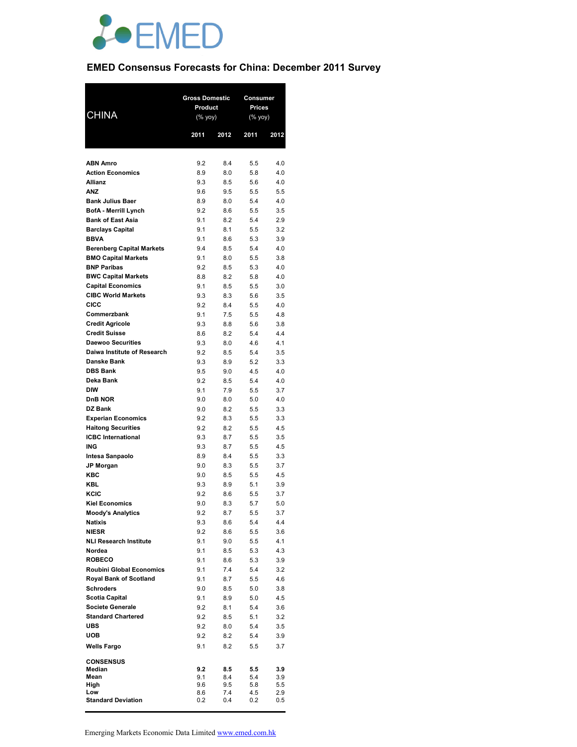

# **EMED Consensus Forecasts for China: December 2011 Survey**

|                                                         | <b>Gross Domestic</b> |            | <b>Consumer</b>          |            |
|---------------------------------------------------------|-----------------------|------------|--------------------------|------------|
| <b>CHINA</b>                                            | Product<br>(% yoy)    |            | <b>Prices</b><br>(% yoy) |            |
|                                                         |                       |            |                          |            |
|                                                         | 2011                  | 2012       | 2011                     | 2012       |
|                                                         |                       |            |                          |            |
| <b>ABN Amro</b><br><b>Action Economics</b>              | 9.2<br>8.9            | 8.4<br>8.0 | 5.5<br>5.8               | 4.0<br>4.0 |
| <b>Allianz</b>                                          | 9.3                   | 8.5        | 5.6                      | 4.0        |
| <b>ANZ</b>                                              | 9.6                   | 9.5        | 5.5                      | 5.5        |
| <b>Bank Julius Baer</b>                                 | 8.9                   | 8.0        | 5.4                      | 4.0        |
| <b>BofA - Merrill Lynch</b>                             | 9.2                   | 8.6        | 5.5                      | 3.5        |
| <b>Bank of East Asia</b><br><b>Barclays Capital</b>     | 9.1<br>9.1            | 8.2<br>8.1 | 5.4<br>5.5               | 2.9<br>3.2 |
| <b>BBVA</b>                                             | 9.1                   | 8.6        | 5.3                      | 3.9        |
| <b>Berenberg Capital Markets</b>                        | 9.4                   | 8.5        | 5.4                      | 4.0        |
| <b>BMO Capital Markets</b>                              | 9.1                   | 8.0        | 5.5                      | 3.8        |
| <b>BNP Paribas</b>                                      | 9.2                   | 8.5        | 5.3                      | 4.0        |
| <b>BWC Capital Markets</b>                              | 8.8                   | 8.2        | 5.8                      | 4.0        |
| <b>Capital Economics</b><br><b>CIBC World Markets</b>   | 9.1<br>9.3            | 8.5<br>8.3 | 5.5<br>5.6               | 3.0<br>3.5 |
| <b>CICC</b>                                             | 9.2                   | 8.4        | 5.5                      | 4.0        |
| Commerzbank                                             | 9.1                   | 7.5        | 5.5                      | 4.8        |
| <b>Credit Agricole</b>                                  | 9.3                   | 8.8        | 5.6                      | 3.8        |
| <b>Credit Suisse</b>                                    | 8.6                   | 8.2        | 5.4                      | 4.4        |
| <b>Daewoo Securities</b><br>Daiwa Institute of Research | 9.3                   | 8.0        | 4.6                      | 4.1        |
| <b>Danske Bank</b>                                      | 9.2<br>9.3            | 8.5<br>8.9 | 5.4<br>5.2               | 3.5<br>3.3 |
| <b>DBS Bank</b>                                         | 9.5                   | 9.0        | 4.5                      | 4.0        |
| Deka Bank                                               | 9.2                   | 8.5        | 5.4                      | 4.0        |
| <b>DIW</b>                                              | 9.1                   | 7.9        | 5.5                      | 3.7        |
| <b>DnB NOR</b>                                          | 9.0                   | 8.0        | 5.0                      | 4.0        |
| <b>DZ Bank</b>                                          | 9.0<br>9.2            | 8.2<br>8.3 | 5.5                      | 3.3<br>3.3 |
| <b>Experian Economics</b><br><b>Haitong Securities</b>  | 9.2                   | 8.2        | 5.5<br>5.5               | 4.5        |
| <b>ICBC</b> International                               | 9.3                   | 8.7        | 5.5                      | 3.5        |
| <b>ING</b>                                              | 9.3                   | 8.7        | 5.5                      | 4.5        |
| Intesa Sanpaolo                                         | 8.9                   | 8.4        | 5.5                      | 3.3        |
| <b>JP Morgan</b>                                        | 9.0                   | 8.3        | 5.5                      | 3.7        |
| KBC<br><b>KBL</b>                                       | 9.0<br>9.3            | 8.5<br>8.9 | 5.5<br>5.1               | 4.5<br>3.9 |
| <b>KCIC</b>                                             | 9.2                   | 8.6        | 5.5                      | 3.7        |
| <b>Kiel Economics</b>                                   | 9.0                   | 8.3        | 5.7                      | 5.0        |
| <b>Moody's Analytics</b>                                | 9.2                   | 8.7        | 5.5                      | 3.7        |
| <b>Natixis</b>                                          | 9.3                   | 8.6        | 5.4                      | 4.4        |
| <b>NIESR</b>                                            | 9.2                   | 8.6        | 5.5                      | 3.6        |
| <b>NLI Research Institute</b><br>Nordea                 | 9.1<br>9.1            | 9.0<br>8.5 | 5.5<br>5.3               | 4.1<br>4.3 |
| <b>ROBECO</b>                                           | 9.1                   | 8.6        | 5.3                      | 3.9        |
| <b>Roubini Global Economics</b>                         | 9.1                   | 7.4        | 5.4                      | 3.2        |
| <b>Royal Bank of Scotland</b>                           | 9.1                   | 8.7        | 5.5                      | 4.6        |
| <b>Schroders</b>                                        | 9.0                   | 8.5        | 5.0                      | 3.8        |
| <b>Scotia Capital</b>                                   | 9.1                   | 8.9        | 5.0                      | 4.5        |
| <b>Societe Generale</b><br><b>Standard Chartered</b>    | 9.2<br>9.2            | 8.1<br>8.5 | 5.4<br>5.1               | 3.6<br>3.2 |
| <b>UBS</b>                                              | 9.2                   | 8.0        | 5.4                      | 3.5        |
| <b>UOB</b>                                              | 9.2                   | 8.2        | 5.4                      | 3.9        |
| <b>Wells Fargo</b>                                      | 9.1                   | 8.2        | 5.5                      | 3.7        |
| <b>CONSENSUS</b>                                        |                       |            |                          |            |
| Median                                                  | 9.2                   | 8.5        | 5.5                      | 3.9        |
| Mean<br>High                                            | 9.1<br>9.6            | 8.4<br>9.5 | 5.4<br>5.8               | 3.9<br>5.5 |
| Low                                                     | 8.6                   | 7.4        | 4.5                      | 2.9        |
| <b>Standard Deviation</b>                               | 0.2                   | 0.4        | 0.2                      | 0.5        |